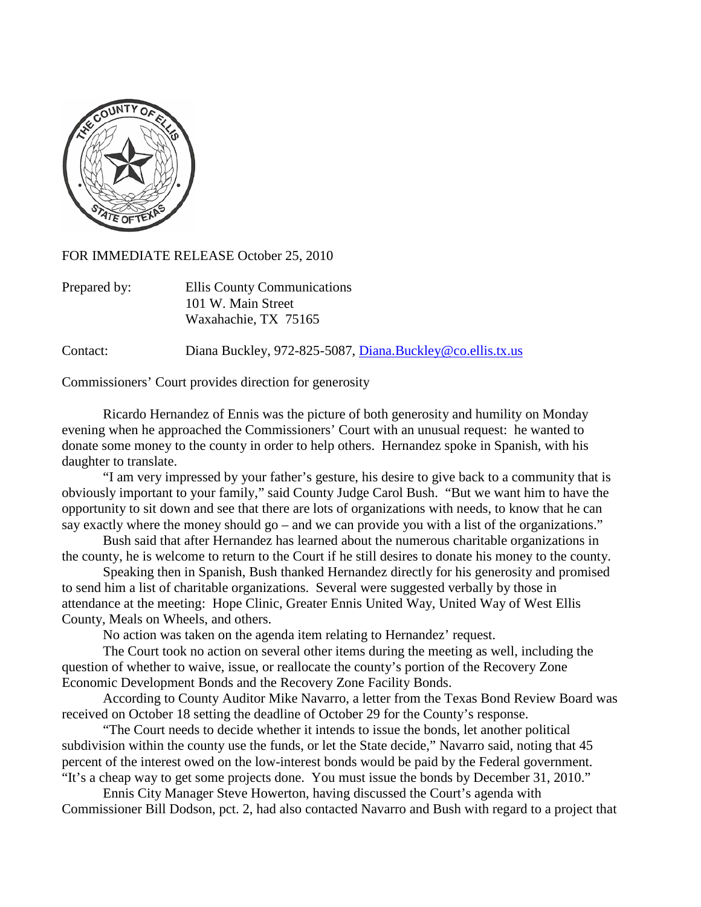

FOR IMMEDIATE RELEASE October 25, 2010

| Prepared by: | Ellis County Communications |
|--------------|-----------------------------|
|              | 101 W. Main Street          |
|              | Waxahachie, TX 75165        |

Contact: Diana Buckley, 972-825-5087, [Diana.Buckley@co.ellis.tx.us](mailto:Diana.Buckley@co.ellis.tx.us)

Commissioners' Court provides direction for generosity

Ricardo Hernandez of Ennis was the picture of both generosity and humility on Monday evening when he approached the Commissioners' Court with an unusual request: he wanted to donate some money to the county in order to help others. Hernandez spoke in Spanish, with his daughter to translate.

"I am very impressed by your father's gesture, his desire to give back to a community that is obviously important to your family," said County Judge Carol Bush. "But we want him to have the opportunity to sit down and see that there are lots of organizations with needs, to know that he can say exactly where the money should go – and we can provide you with a list of the organizations."

Bush said that after Hernandez has learned about the numerous charitable organizations in the county, he is welcome to return to the Court if he still desires to donate his money to the county.

Speaking then in Spanish, Bush thanked Hernandez directly for his generosity and promised to send him a list of charitable organizations. Several were suggested verbally by those in attendance at the meeting: Hope Clinic, Greater Ennis United Way, United Way of West Ellis County, Meals on Wheels, and others.

No action was taken on the agenda item relating to Hernandez' request.

The Court took no action on several other items during the meeting as well, including the question of whether to waive, issue, or reallocate the county's portion of the Recovery Zone Economic Development Bonds and the Recovery Zone Facility Bonds.

According to County Auditor Mike Navarro, a letter from the Texas Bond Review Board was received on October 18 setting the deadline of October 29 for the County's response.

"The Court needs to decide whether it intends to issue the bonds, let another political subdivision within the county use the funds, or let the State decide," Navarro said, noting that 45 percent of the interest owed on the low-interest bonds would be paid by the Federal government. "It's a cheap way to get some projects done. You must issue the bonds by December 31, 2010."

Ennis City Manager Steve Howerton, having discussed the Court's agenda with Commissioner Bill Dodson, pct. 2, had also contacted Navarro and Bush with regard to a project that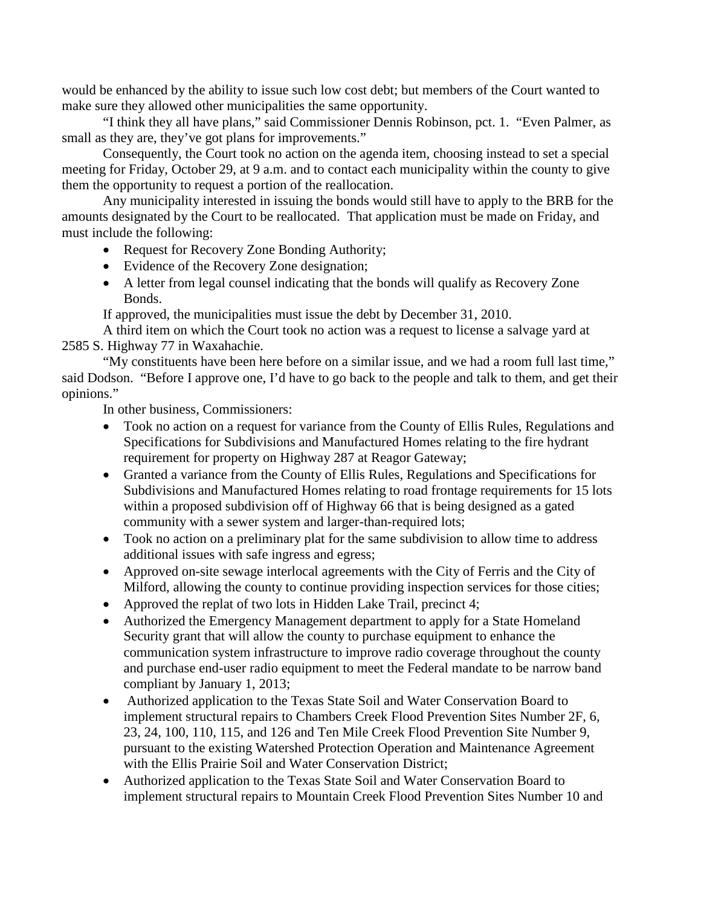would be enhanced by the ability to issue such low cost debt; but members of the Court wanted to make sure they allowed other municipalities the same opportunity.

"I think they all have plans," said Commissioner Dennis Robinson, pct. 1. "Even Palmer, as small as they are, they've got plans for improvements."

Consequently, the Court took no action on the agenda item, choosing instead to set a special meeting for Friday, October 29, at 9 a.m. and to contact each municipality within the county to give them the opportunity to request a portion of the reallocation.

Any municipality interested in issuing the bonds would still have to apply to the BRB for the amounts designated by the Court to be reallocated. That application must be made on Friday, and must include the following:

- Request for Recovery Zone Bonding Authority;
- Evidence of the Recovery Zone designation;
- A letter from legal counsel indicating that the bonds will qualify as Recovery Zone Bonds.

If approved, the municipalities must issue the debt by December 31, 2010.

A third item on which the Court took no action was a request to license a salvage yard at 2585 S. Highway 77 in Waxahachie.

"My constituents have been here before on a similar issue, and we had a room full last time," said Dodson. "Before I approve one, I'd have to go back to the people and talk to them, and get their opinions."

In other business, Commissioners:

- Took no action on a request for variance from the County of Ellis Rules, Regulations and Specifications for Subdivisions and Manufactured Homes relating to the fire hydrant requirement for property on Highway 287 at Reagor Gateway;
- Granted a variance from the County of Ellis Rules, Regulations and Specifications for Subdivisions and Manufactured Homes relating to road frontage requirements for 15 lots within a proposed subdivision off of Highway 66 that is being designed as a gated community with a sewer system and larger-than-required lots;
- Took no action on a preliminary plat for the same subdivision to allow time to address additional issues with safe ingress and egress;
- Approved on-site sewage interlocal agreements with the City of Ferris and the City of Milford, allowing the county to continue providing inspection services for those cities;
- Approved the replat of two lots in Hidden Lake Trail, precinct 4;
- Authorized the Emergency Management department to apply for a State Homeland Security grant that will allow the county to purchase equipment to enhance the communication system infrastructure to improve radio coverage throughout the county and purchase end-user radio equipment to meet the Federal mandate to be narrow band compliant by January 1, 2013;
- Authorized application to the Texas State Soil and Water Conservation Board to implement structural repairs to Chambers Creek Flood Prevention Sites Number 2F, 6, 23, 24, 100, 110, 115, and 126 and Ten Mile Creek Flood Prevention Site Number 9, pursuant to the existing Watershed Protection Operation and Maintenance Agreement with the Ellis Prairie Soil and Water Conservation District;
- Authorized application to the Texas State Soil and Water Conservation Board to implement structural repairs to Mountain Creek Flood Prevention Sites Number 10 and